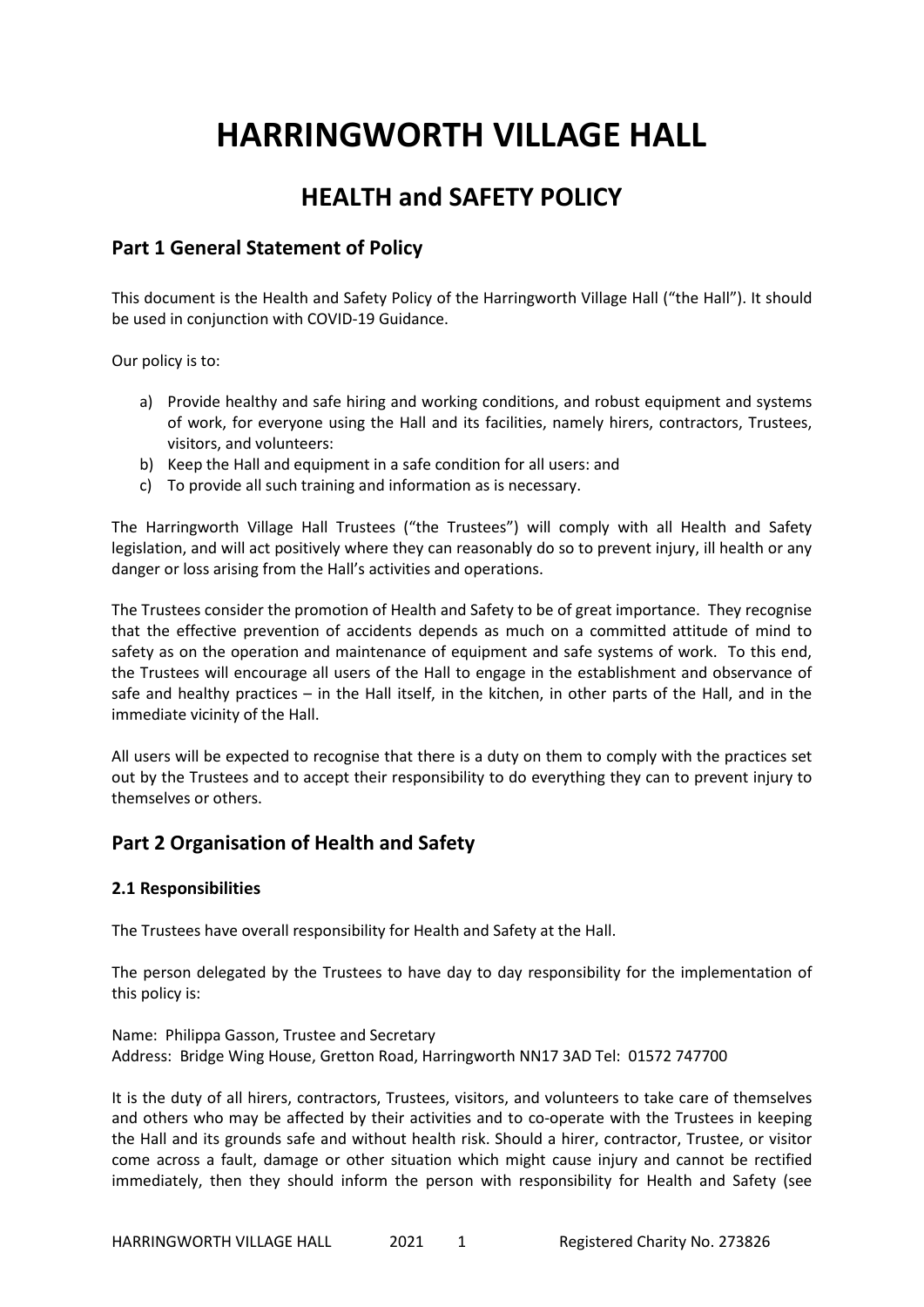# **HARRINGWORTH VILLAGE HALL**

## **HEALTH and SAFETY POLICY**

### **Part 1 General Statement of Policy**

This document is the Health and Safety Policy of the Harringworth Village Hall ("the Hall"). It should be used in conjunction with COVID-19 Guidance.

Our policy is to:

- a) Provide healthy and safe hiring and working conditions, and robust equipment and systems of work, for everyone using the Hall and its facilities, namely hirers, contractors, Trustees, visitors, and volunteers:
- b) Keep the Hall and equipment in a safe condition for all users: and
- c) To provide all such training and information as is necessary.

The Harringworth Village Hall Trustees ("the Trustees") will comply with all Health and Safety legislation, and will act positively where they can reasonably do so to prevent injury, ill health or any danger or loss arising from the Hall's activities and operations.

The Trustees consider the promotion of Health and Safety to be of great importance. They recognise that the effective prevention of accidents depends as much on a committed attitude of mind to safety as on the operation and maintenance of equipment and safe systems of work. To this end, the Trustees will encourage all users of the Hall to engage in the establishment and observance of safe and healthy practices – in the Hall itself, in the kitchen, in other parts of the Hall, and in the immediate vicinity of the Hall.

All users will be expected to recognise that there is a duty on them to comply with the practices set out by the Trustees and to accept their responsibility to do everything they can to prevent injury to themselves or others.

### **Part 2 Organisation of Health and Safety**

#### **2.1 Responsibilities**

The Trustees have overall responsibility for Health and Safety at the Hall.

The person delegated by the Trustees to have day to day responsibility for the implementation of this policy is:

Name: Philippa Gasson, Trustee and Secretary Address: Bridge Wing House, Gretton Road, Harringworth NN17 3AD Tel: 01572 747700

It is the duty of all hirers, contractors, Trustees, visitors, and volunteers to take care of themselves and others who may be affected by their activities and to co-operate with the Trustees in keeping the Hall and its grounds safe and without health risk. Should a hirer, contractor, Trustee, or visitor come across a fault, damage or other situation which might cause injury and cannot be rectified immediately, then they should inform the person with responsibility for Health and Safety (see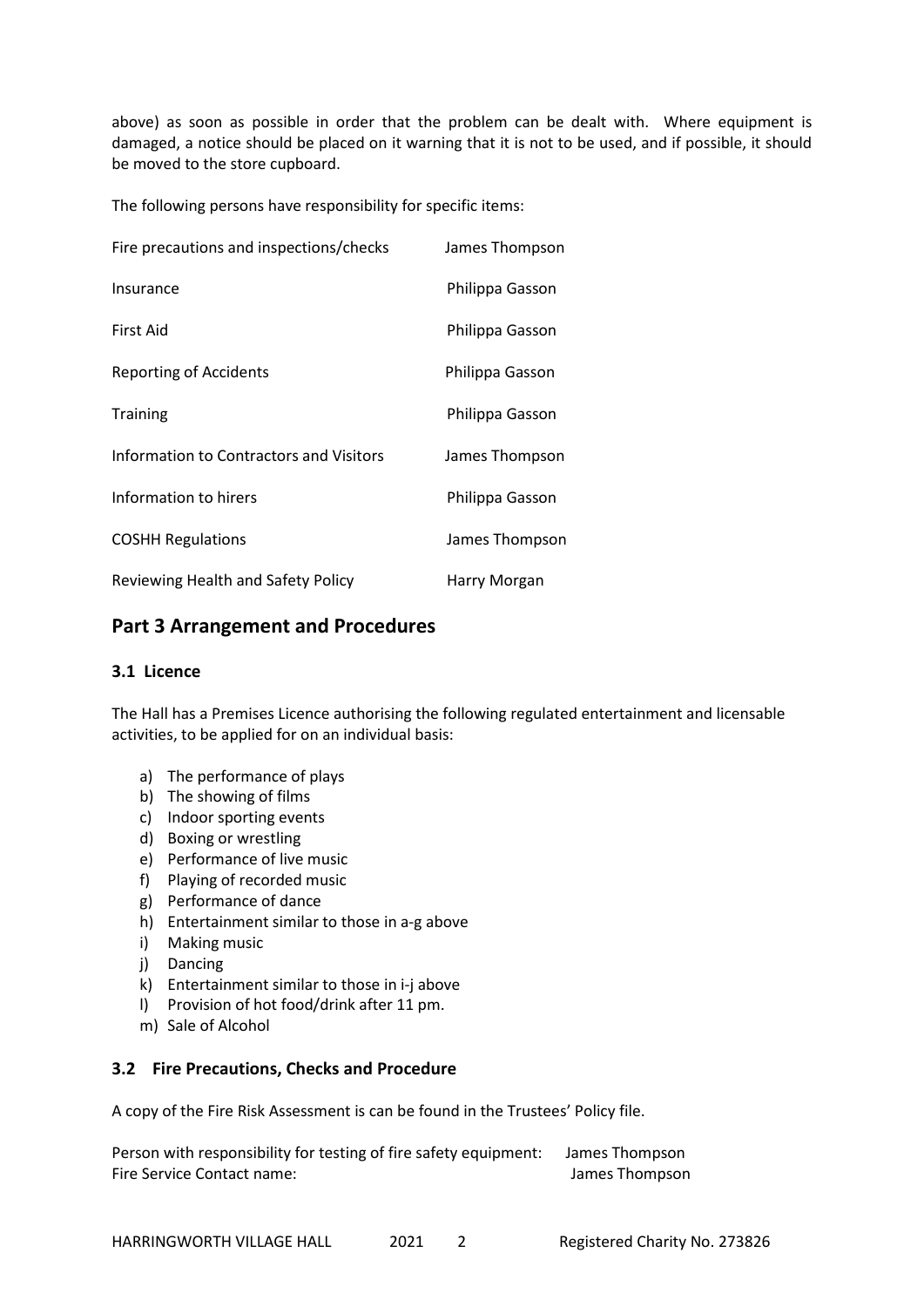above) as soon as possible in order that the problem can be dealt with. Where equipment is damaged, a notice should be placed on it warning that it is not to be used, and if possible, it should be moved to the store cupboard.

The following persons have responsibility for specific items:

| Fire precautions and inspections/checks | James Thompson  |
|-----------------------------------------|-----------------|
| Insurance                               | Philippa Gasson |
| First Aid                               | Philippa Gasson |
| <b>Reporting of Accidents</b>           | Philippa Gasson |
| <b>Training</b>                         | Philippa Gasson |
| Information to Contractors and Visitors | James Thompson  |
| Information to hirers                   | Philippa Gasson |
| <b>COSHH Regulations</b>                | James Thompson  |
| Reviewing Health and Safety Policy      | Harry Morgan    |

### **Part 3 Arrangement and Procedures**

### **3.1 Licence**

The Hall has a Premises Licence authorising the following regulated entertainment and licensable activities, to be applied for on an individual basis:

- a) The performance of plays
- b) The showing of films
- c) Indoor sporting events
- d) Boxing or wrestling
- e) Performance of live music
- f) Playing of recorded music
- g) Performance of dance
- h) Entertainment similar to those in a-g above
- i) Making music
- j) Dancing
- k) Entertainment similar to those in i-j above
- l) Provision of hot food/drink after 11 pm.
- m) Sale of Alcohol

### **3.2 Fire Precautions, Checks and Procedure**

A copy of the Fire Risk Assessment is can be found in the Trustees' Policy file.

Person with responsibility for testing of fire safety equipment: James Thompson Fire Service Contact name:  $\blacksquare$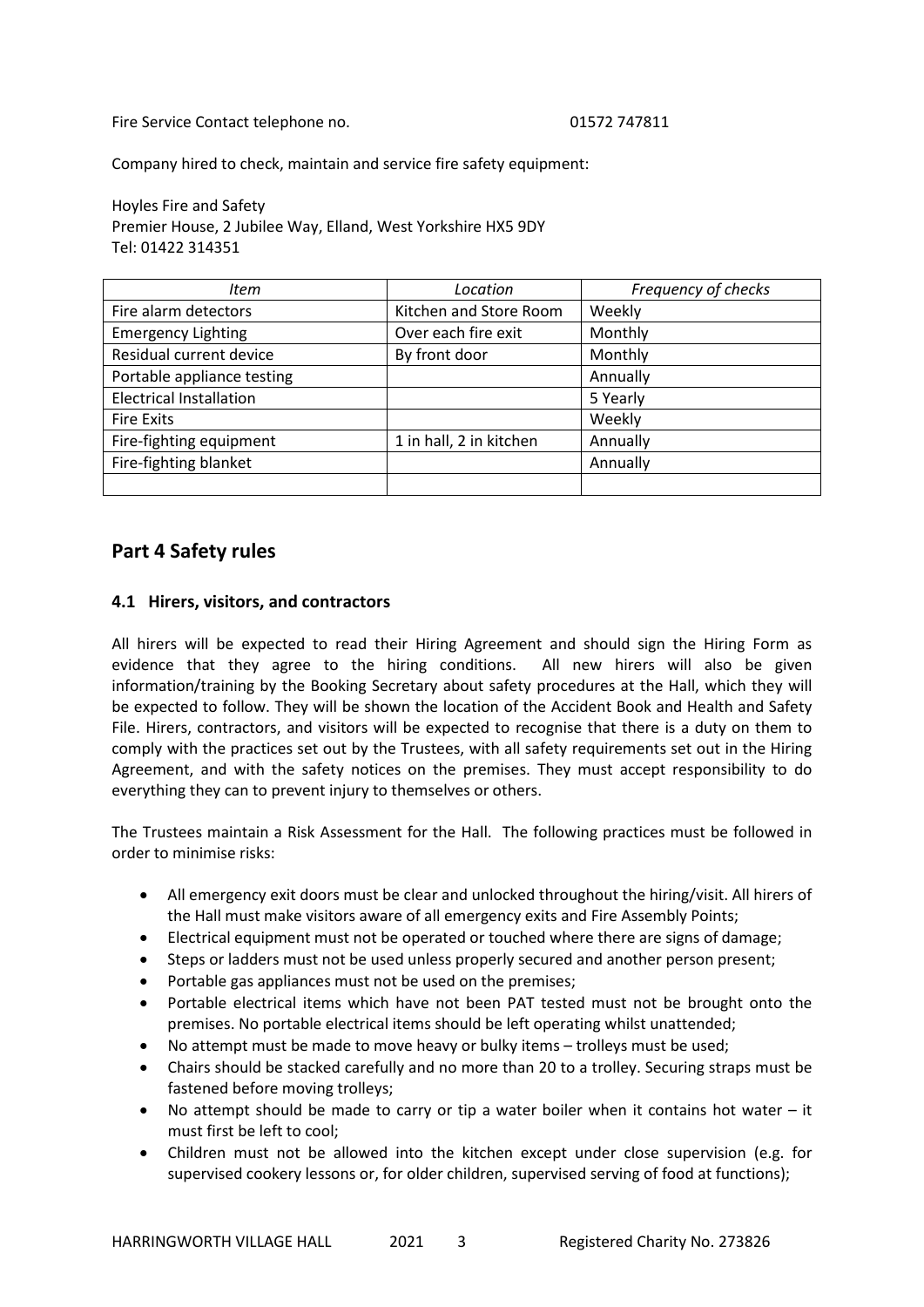Fire Service Contact telephone no. 01572 747811

Company hired to check, maintain and service fire safety equipment:

Hoyles Fire and Safety Premier House, 2 Jubilee Way, Elland, West Yorkshire HX5 9DY Tel: 01422 314351

| Item                           | Location                | Frequency of checks |
|--------------------------------|-------------------------|---------------------|
| Fire alarm detectors           | Kitchen and Store Room  | Weekly              |
| <b>Emergency Lighting</b>      | Over each fire exit     | Monthly             |
| Residual current device        | By front door           | Monthly             |
| Portable appliance testing     |                         | Annually            |
| <b>Electrical Installation</b> |                         | 5 Yearly            |
| <b>Fire Exits</b>              |                         | Weekly              |
| Fire-fighting equipment        | 1 in hall, 2 in kitchen | Annually            |
| Fire-fighting blanket          |                         | Annually            |
|                                |                         |                     |

### **Part 4 Safety rules**

#### **4.1 Hirers, visitors, and contractors**

All hirers will be expected to read their Hiring Agreement and should sign the Hiring Form as evidence that they agree to the hiring conditions. All new hirers will also be given information/training by the Booking Secretary about safety procedures at the Hall, which they will be expected to follow. They will be shown the location of the Accident Book and Health and Safety File. Hirers, contractors, and visitors will be expected to recognise that there is a duty on them to comply with the practices set out by the Trustees, with all safety requirements set out in the Hiring Agreement, and with the safety notices on the premises. They must accept responsibility to do everything they can to prevent injury to themselves or others.

The Trustees maintain a Risk Assessment for the Hall. The following practices must be followed in order to minimise risks:

- All emergency exit doors must be clear and unlocked throughout the hiring/visit. All hirers of the Hall must make visitors aware of all emergency exits and Fire Assembly Points;
- Electrical equipment must not be operated or touched where there are signs of damage;
- Steps or ladders must not be used unless properly secured and another person present;
- Portable gas appliances must not be used on the premises;
- Portable electrical items which have not been PAT tested must not be brought onto the premises. No portable electrical items should be left operating whilst unattended;
- No attempt must be made to move heavy or bulky items trolleys must be used;
- Chairs should be stacked carefully and no more than 20 to a trolley. Securing straps must be fastened before moving trolleys;
- No attempt should be made to carry or tip a water boiler when it contains hot water  $-$  it must first be left to cool;
- Children must not be allowed into the kitchen except under close supervision (e.g. for supervised cookery lessons or, for older children, supervised serving of food at functions);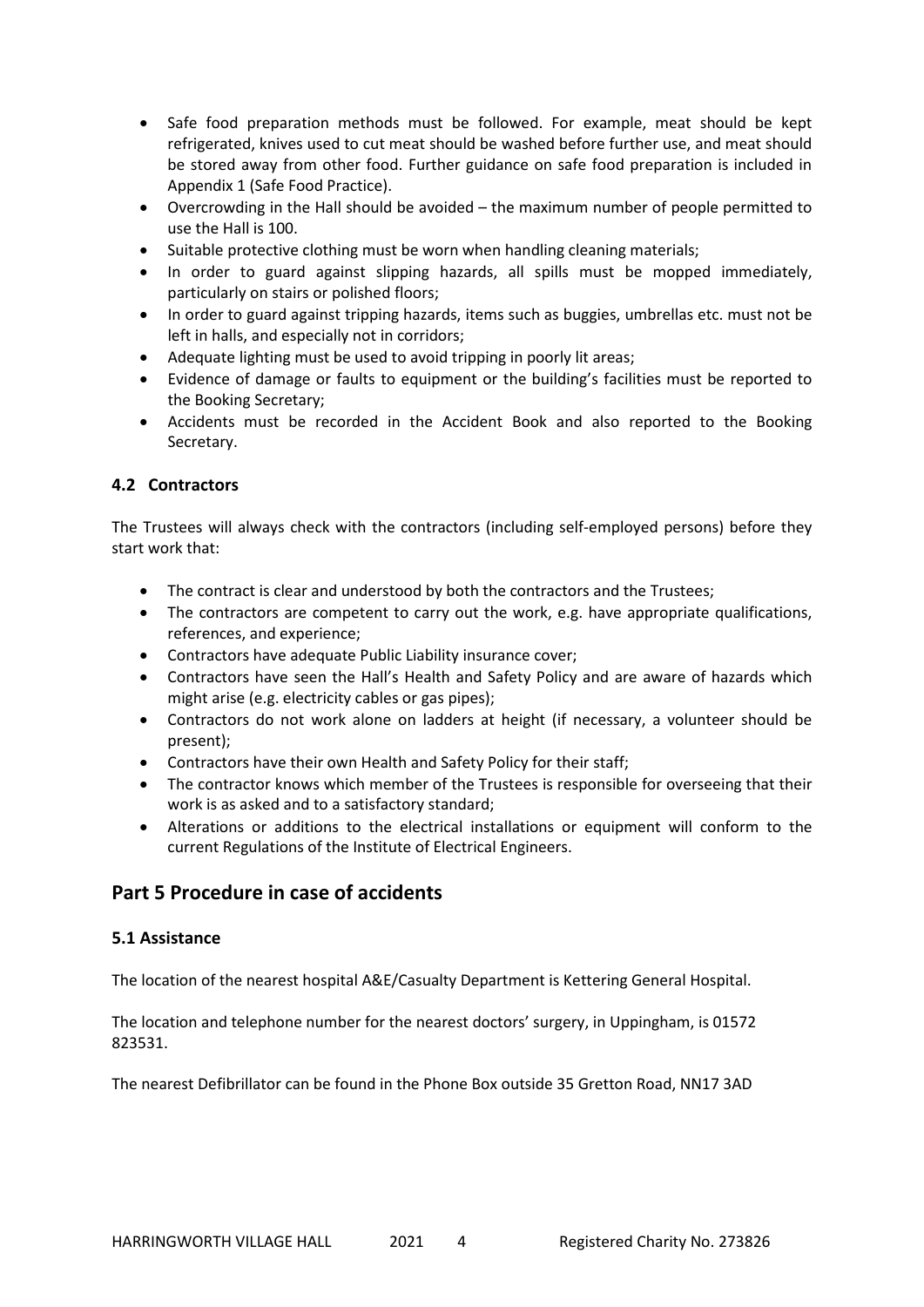- Safe food preparation methods must be followed. For example, meat should be kept refrigerated, knives used to cut meat should be washed before further use, and meat should be stored away from other food. Further guidance on safe food preparation is included in Appendix 1 (Safe Food Practice).
- Overcrowding in the Hall should be avoided the maximum number of people permitted to use the Hall is 100.
- Suitable protective clothing must be worn when handling cleaning materials;
- In order to guard against slipping hazards, all spills must be mopped immediately, particularly on stairs or polished floors;
- In order to guard against tripping hazards, items such as buggies, umbrellas etc. must not be left in halls, and especially not in corridors;
- Adequate lighting must be used to avoid tripping in poorly lit areas;
- Evidence of damage or faults to equipment or the building's facilities must be reported to the Booking Secretary;
- Accidents must be recorded in the Accident Book and also reported to the Booking Secretary.

### **4.2 Contractors**

The Trustees will always check with the contractors (including self-employed persons) before they start work that:

- The contract is clear and understood by both the contractors and the Trustees;
- The contractors are competent to carry out the work, e.g. have appropriate qualifications, references, and experience;
- Contractors have adequate Public Liability insurance cover;
- Contractors have seen the Hall's Health and Safety Policy and are aware of hazards which might arise (e.g. electricity cables or gas pipes);
- Contractors do not work alone on ladders at height (if necessary, a volunteer should be present);
- Contractors have their own Health and Safety Policy for their staff;
- The contractor knows which member of the Trustees is responsible for overseeing that their work is as asked and to a satisfactory standard;
- Alterations or additions to the electrical installations or equipment will conform to the current Regulations of the Institute of Electrical Engineers.

### **Part 5 Procedure in case of accidents**

### **5.1 Assistance**

The location of the nearest hospital A&E/Casualty Department is Kettering General Hospital.

The location and telephone number for the nearest doctors' surgery, in Uppingham, is 01572 823531.

The nearest Defibrillator can be found in the Phone Box outside 35 Gretton Road, NN17 3AD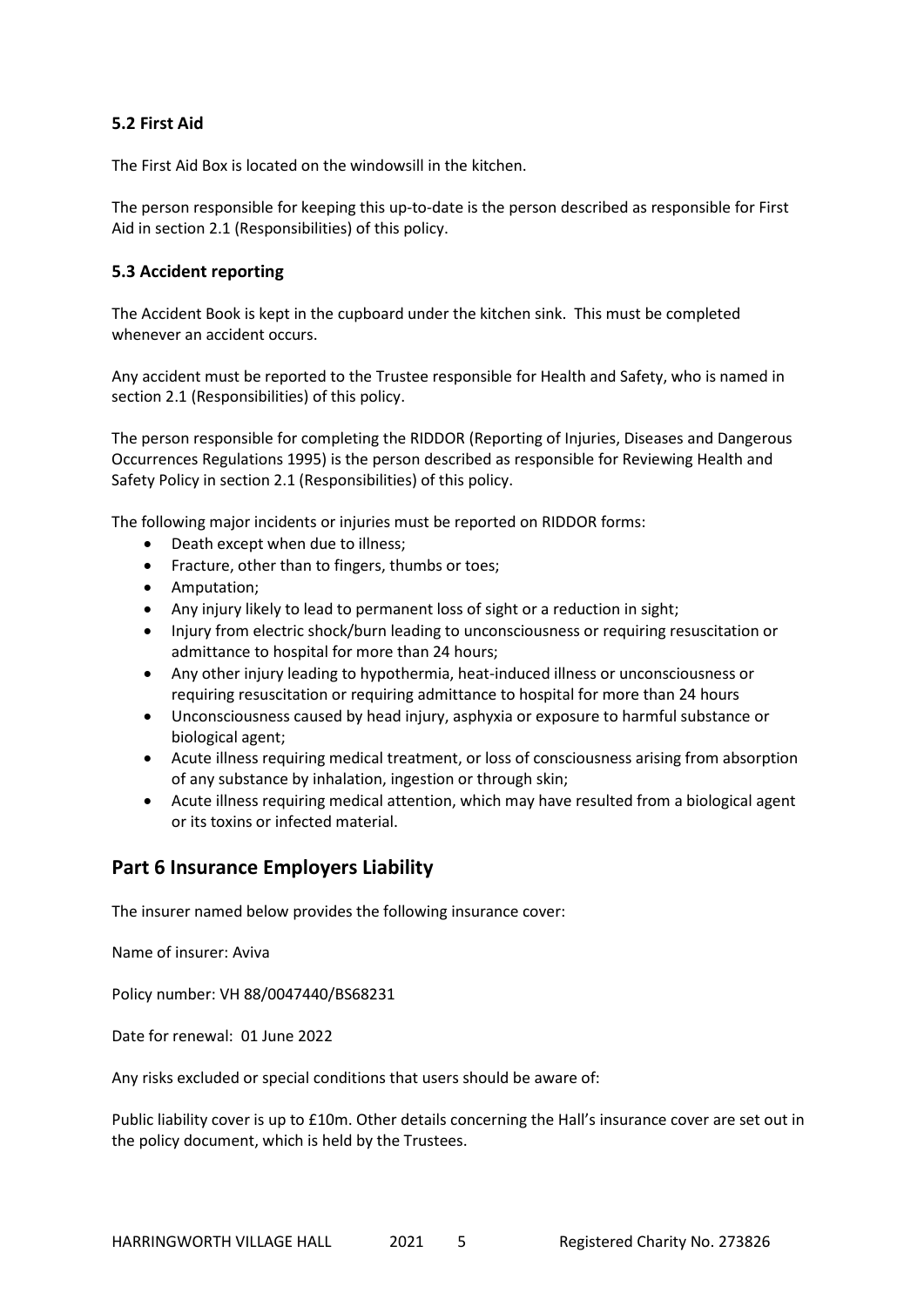### **5.2 First Aid**

The First Aid Box is located on the windowsill in the kitchen.

The person responsible for keeping this up-to-date is the person described as responsible for First Aid in section 2.1 (Responsibilities) of this policy.

### **5.3 Accident reporting**

The Accident Book is kept in the cupboard under the kitchen sink. This must be completed whenever an accident occurs.

Any accident must be reported to the Trustee responsible for Health and Safety, who is named in section 2.1 (Responsibilities) of this policy.

The person responsible for completing the RIDDOR (Reporting of Injuries, Diseases and Dangerous Occurrences Regulations 1995) is the person described as responsible for Reviewing Health and Safety Policy in section 2.1 (Responsibilities) of this policy.

The following major incidents or injuries must be reported on RIDDOR forms:

- Death except when due to illness;
- Fracture, other than to fingers, thumbs or toes;
- Amputation;
- Any injury likely to lead to permanent loss of sight or a reduction in sight;
- Injury from electric shock/burn leading to unconsciousness or requiring resuscitation or admittance to hospital for more than 24 hours;
- Any other injury leading to hypothermia, heat-induced illness or unconsciousness or requiring resuscitation or requiring admittance to hospital for more than 24 hours
- Unconsciousness caused by head injury, asphyxia or exposure to harmful substance or biological agent;
- Acute illness requiring medical treatment, or loss of consciousness arising from absorption of any substance by inhalation, ingestion or through skin;
- Acute illness requiring medical attention, which may have resulted from a biological agent or its toxins or infected material.

### **Part 6 Insurance Employers Liability**

The insurer named below provides the following insurance cover:

Name of insurer: Aviva

Policy number: VH 88/0047440/BS68231

Date for renewal: 01 June 2022

Any risks excluded or special conditions that users should be aware of:

Public liability cover is up to £10m. Other details concerning the Hall's insurance cover are set out in the policy document, which is held by the Trustees.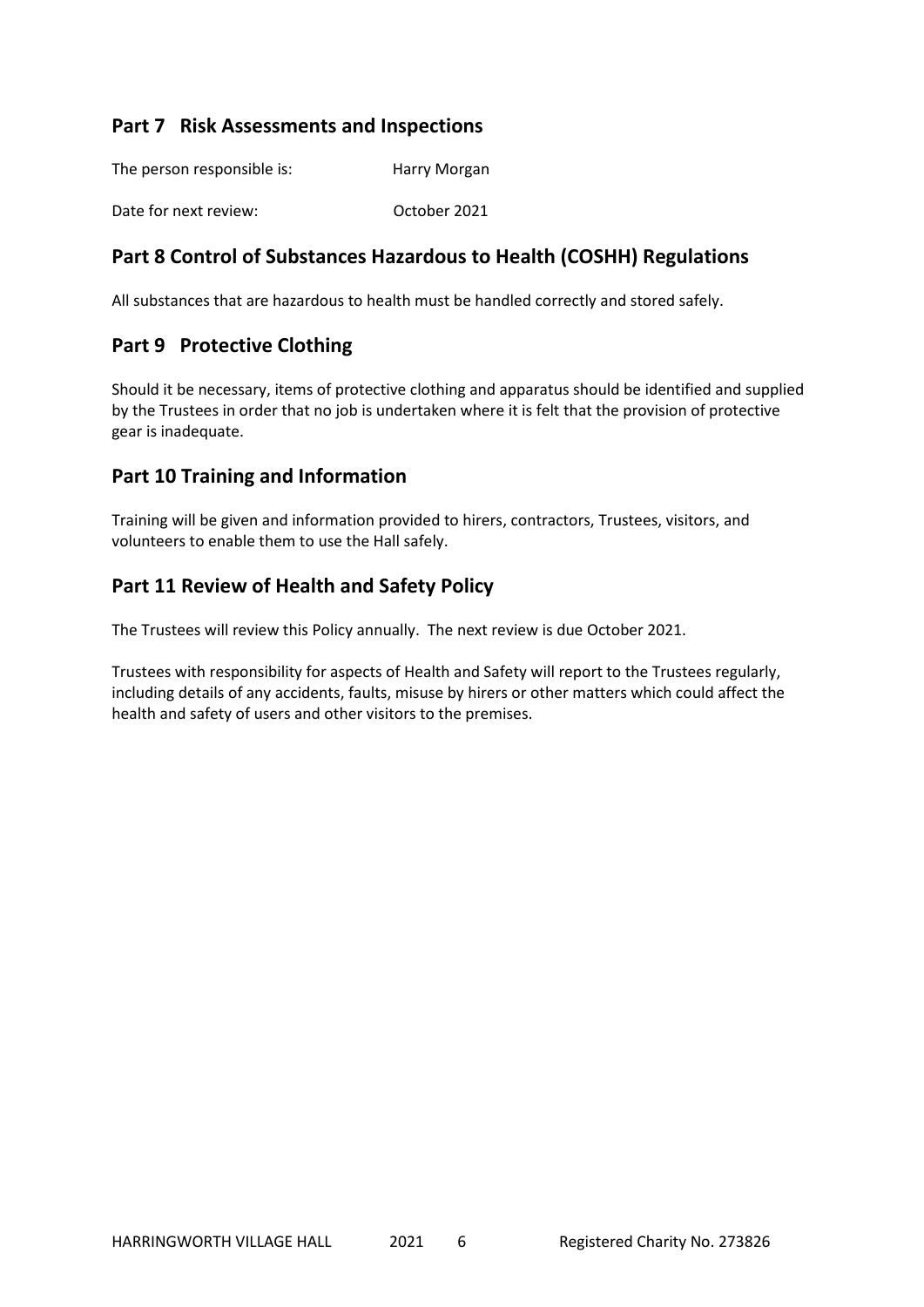### **Part 7 Risk Assessments and Inspections**

| The person responsible is: | Harry Morgan |
|----------------------------|--------------|
| Date for next review:      | October 2021 |

### **Part 8 Control of Substances Hazardous to Health (COSHH) Regulations**

All substances that are hazardous to health must be handled correctly and stored safely.

### **Part 9 Protective Clothing**

Should it be necessary, items of protective clothing and apparatus should be identified and supplied by the Trustees in order that no job is undertaken where it is felt that the provision of protective gear is inadequate.

### **Part 10 Training and Information**

Training will be given and information provided to hirers, contractors, Trustees, visitors, and volunteers to enable them to use the Hall safely.

### **Part 11 Review of Health and Safety Policy**

The Trustees will review this Policy annually. The next review is due October 2021.

Trustees with responsibility for aspects of Health and Safety will report to the Trustees regularly, including details of any accidents, faults, misuse by hirers or other matters which could affect the health and safety of users and other visitors to the premises.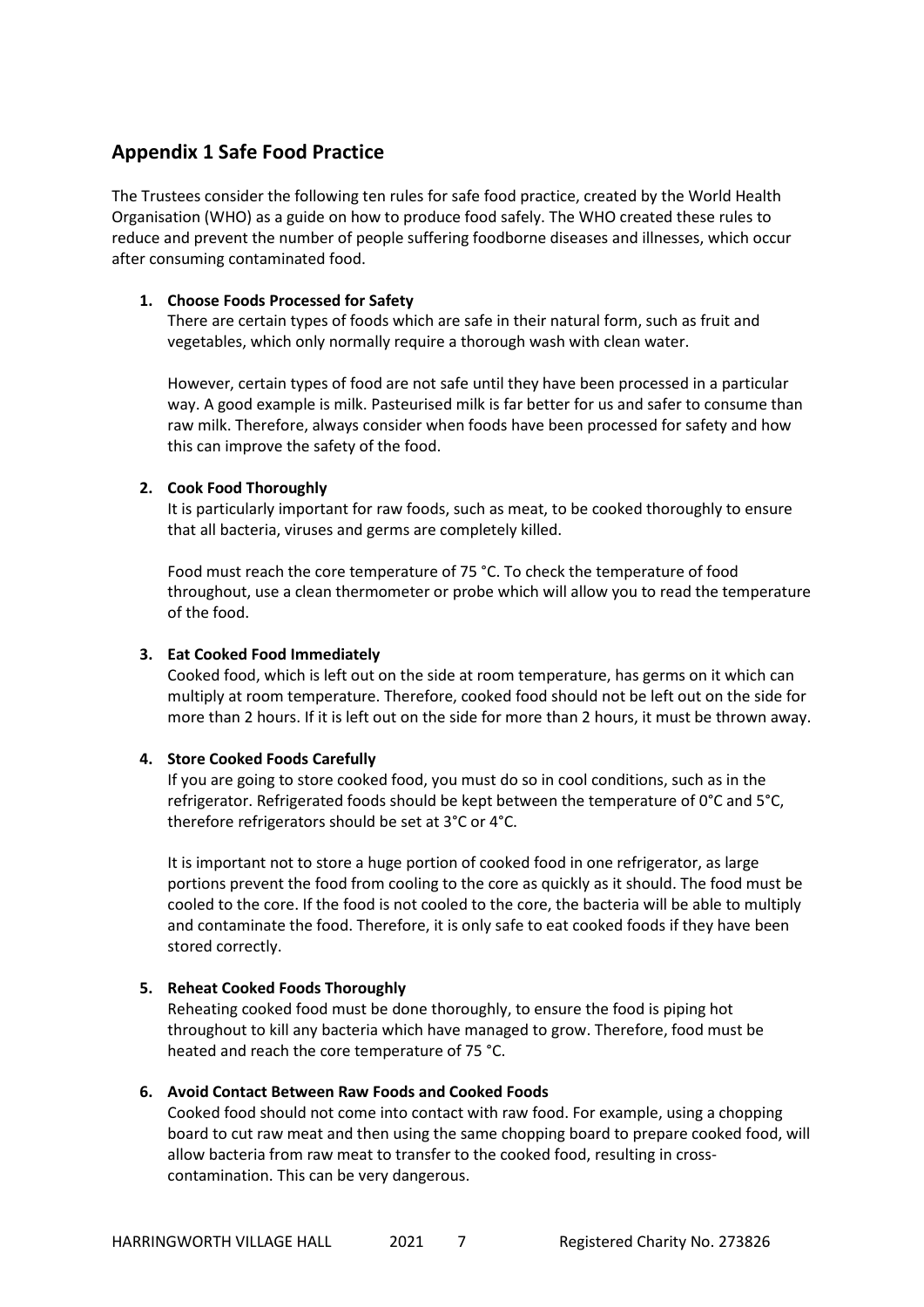### **Appendix 1 Safe Food Practice**

The Trustees consider the following ten rules for safe food practice, created by the World Health Organisation (WHO) as a guide on how to produce food safely. The WHO created these rules to reduce and prevent the number of people suffering foodborne diseases and illnesses, which occur after consuming contaminated food.

#### **1. Choose Foods Processed for Safety**

There are certain types of foods which are safe in their natural form, such as fruit and vegetables, which only normally require a thorough wash with clean water.

However, certain types of food are not safe until they have been processed in a particular way. A good example is milk. Pasteurised milk is far better for us and safer to consume than raw milk. Therefore, always consider when foods have been processed for safety and how this can improve the safety of the food.

#### **2. Cook Food Thoroughly**

It is particularly important for raw foods, such as meat, to be cooked thoroughly to ensure that all bacteria, viruses and germs are completely killed.

Food must reach the core temperature of 75 °C. To check the temperature of food throughout, use a clean thermometer or probe which will allow you to read the temperature of the food.

#### **3. Eat Cooked Food Immediately**

Cooked food, which is left out on the side at room temperature, has germs on it which can multiply at room temperature. Therefore, cooked food should not be left out on the side for more than 2 hours. If it is left out on the side for more than 2 hours, it must be thrown away.

#### **4. Store Cooked Foods Carefully**

If you are going to store cooked food, you must do so in cool conditions, such as in the refrigerator. Refrigerated foods should be kept between the temperature of 0°C and 5°C, therefore refrigerators should be set at 3°C or 4°C.

It is important not to store a huge portion of cooked food in one refrigerator, as large portions prevent the food from cooling to the core as quickly as it should. The food must be cooled to the core. If the food is not cooled to the core, the bacteria will be able to multiply and contaminate the food. Therefore, it is only safe to eat cooked foods if they have been stored correctly.

### **5. Reheat Cooked Foods Thoroughly**

Reheating cooked food must be done thoroughly, to ensure the food is piping hot throughout to kill any bacteria which have managed to grow. Therefore, food must be heated and reach the core temperature of 75 °C.

#### **6. Avoid Contact Between Raw Foods and Cooked Foods**

Cooked food should not come into contact with raw food. For example, using a chopping board to cut raw meat and then using the same chopping board to prepare cooked food, will allow bacteria from raw meat to transfer to the cooked food, resulting in crosscontamination. This can be very dangerous.